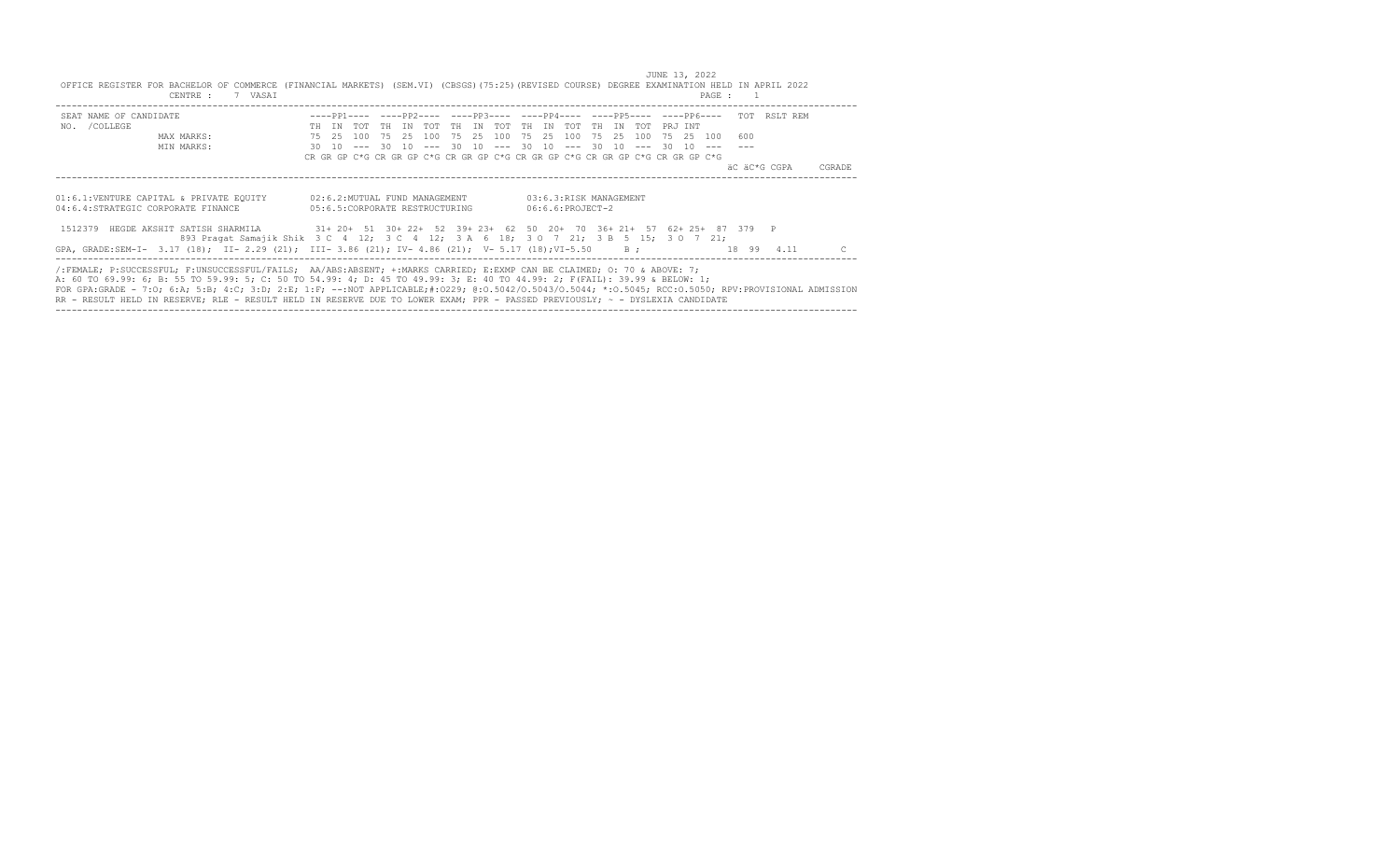JUNE 13, 2022<br>OFFICE REGISTER FOR BACHELOR OF COMMERCE (FINANCIAL MARKETS) (SEM.VI) (CBSGS)(75:25)(REVISED COURSE) DEGREE EXAMINATION HELD IN APRIL 2022<br>PAGE : 1

| CANINA .<br>y noni |  |  |  |     |     |     |     |                                |                                                                                                                                | raga . |       |     |     |                    |                                                                                                                               |               |  |                                                                                                                                                                                                                                                                                                                               |                                                                                                                                                                                   |                                                                                                             |                                                                                                                                                                                                                                                                            |
|--------------------|--|--|--|-----|-----|-----|-----|--------------------------------|--------------------------------------------------------------------------------------------------------------------------------|--------|-------|-----|-----|--------------------|-------------------------------------------------------------------------------------------------------------------------------|---------------|--|-------------------------------------------------------------------------------------------------------------------------------------------------------------------------------------------------------------------------------------------------------------------------------------------------------------------------------|-----------------------------------------------------------------------------------------------------------------------------------------------------------------------------------|-------------------------------------------------------------------------------------------------------------|----------------------------------------------------------------------------------------------------------------------------------------------------------------------------------------------------------------------------------------------------------------------------|
|                    |  |  |  |     |     |     |     |                                |                                                                                                                                |        |       |     |     |                    |                                                                                                                               |               |  |                                                                                                                                                                                                                                                                                                                               |                                                                                                                                                                                   |                                                                                                             |                                                                                                                                                                                                                                                                            |
|                    |  |  |  | T N | ጥሰጥ | TH. | TN. | TOT                            | TH.                                                                                                                            | T N    | TOT   | TH. | T N | ጥሰጥ                |                                                                                                                               |               |  |                                                                                                                                                                                                                                                                                                                               |                                                                                                                                                                                   |                                                                                                             |                                                                                                                                                                                                                                                                            |
|                    |  |  |  |     |     |     |     |                                |                                                                                                                                |        |       |     |     |                    |                                                                                                                               |               |  | 600                                                                                                                                                                                                                                                                                                                           |                                                                                                                                                                                   |                                                                                                             |                                                                                                                                                                                                                                                                            |
|                    |  |  |  |     |     |     |     |                                |                                                                                                                                |        |       |     |     |                    |                                                                                                                               |               |  |                                                                                                                                                                                                                                                                                                                               |                                                                                                                                                                                   |                                                                                                             |                                                                                                                                                                                                                                                                            |
|                    |  |  |  |     |     |     |     |                                |                                                                                                                                |        |       |     |     |                    |                                                                                                                               |               |  |                                                                                                                                                                                                                                                                                                                               |                                                                                                                                                                                   |                                                                                                             |                                                                                                                                                                                                                                                                            |
|                    |  |  |  |     |     |     |     |                                |                                                                                                                                |        |       |     |     |                    |                                                                                                                               |               |  |                                                                                                                                                                                                                                                                                                                               |                                                                                                                                                                                   |                                                                                                             | CGRADE                                                                                                                                                                                                                                                                     |
|                    |  |  |  |     |     |     |     |                                |                                                                                                                                |        |       |     |     |                    |                                                                                                                               |               |  |                                                                                                                                                                                                                                                                                                                               |                                                                                                                                                                                   |                                                                                                             |                                                                                                                                                                                                                                                                            |
|                    |  |  |  |     |     |     |     |                                |                                                                                                                                |        |       |     |     |                    |                                                                                                                               |               |  |                                                                                                                                                                                                                                                                                                                               |                                                                                                                                                                                   |                                                                                                             |                                                                                                                                                                                                                                                                            |
|                    |  |  |  |     |     |     |     |                                |                                                                                                                                |        |       |     |     |                    |                                                                                                                               |               |  |                                                                                                                                                                                                                                                                                                                               |                                                                                                                                                                                   |                                                                                                             |                                                                                                                                                                                                                                                                            |
|                    |  |  |  |     |     |     |     |                                |                                                                                                                                |        |       |     |     |                    |                                                                                                                               |               |  |                                                                                                                                                                                                                                                                                                                               |                                                                                                                                                                                   |                                                                                                             |                                                                                                                                                                                                                                                                            |
|                    |  |  |  |     |     |     |     |                                |                                                                                                                                |        |       |     |     |                    |                                                                                                                               |               |  |                                                                                                                                                                                                                                                                                                                               |                                                                                                                                                                                   |                                                                                                             |                                                                                                                                                                                                                                                                            |
|                    |  |  |  |     |     |     |     | 05:6.5:CORPORATE RESTRUCTURING | 75    25    100    75    25    100    75    25    100<br>01:6.1:VENTURE CAPITAL & PRIVATE EQUITY 02:6.2:MUTUAL FUND MANAGEMENT |        | 75 25 |     |     | $06:6.6:PROJECT-2$ | 03:6.3:RISK MANAGEMENT<br>GPA, GRADE:SEM-I- 3.17 (18); II- 2.29 (21); III- 3.86 (21); IV- 4.86 (21); V- 5.17 (18); VI-5.50 B; | 100 75 25 100 |  | PRJ INT<br>30 10 --- 30 10 --- 30 10 --- 30 10 --- 30 10 --- 30 10 ---<br>/:FEMALE; P:SUCCESSFUL; F:UNSUCCESSFUL/FAILS; AA/ABS:ABSENT; +:MARKS CARRIED; E:EXMP CAN BE CLAIMED; 0: 70 & ABOVE: 7;<br>A: 60 TO 69.99: 6; B: 55 TO 59.99: 5; C: 50 TO 54.99: 4; D: 45 TO 49.99: 3; E: 40 TO 44.99: 2; F(FAIL): 39.99 & BELOW: 1; | 75 25 100<br>CR GR GP C*G CR GR GP C*G CR GR GP C*G CR GR GP C*G CR GR GP C*G CR GR GP C*G<br>893 Pragat Samajik Shik 3 C 4 12; 3 C 4 12; 3 A 6 18; 3 O 7 21; 3 B 5 15; 3 O 7 21; | 1512379 HEGDE AKSHIT SATISH SHARMILA 31+ 20+ 51 30+ 22+ 52 39+ 23+ 62 50 20+ 70 36+ 21+ 57 62+ 25+ 87 379 P | ----PP1---- ----PP2---- ----PP3---- ----PP4---- ----PP5---- ----PP6---- TOT RSLT REM<br>äC äC*G CGPA<br>18 99 4.11<br>FOR GPA:GRADE - 7:0; 6:A; 5:B; 4:C; 3:D; 2:E; 1:F; --:NOT APPLICABLE;#:0229; 0:0.5042/0.5043/0.5044; *:0.5045; RCC:0.5050; RPV:PROVISIONAL ADMISSION |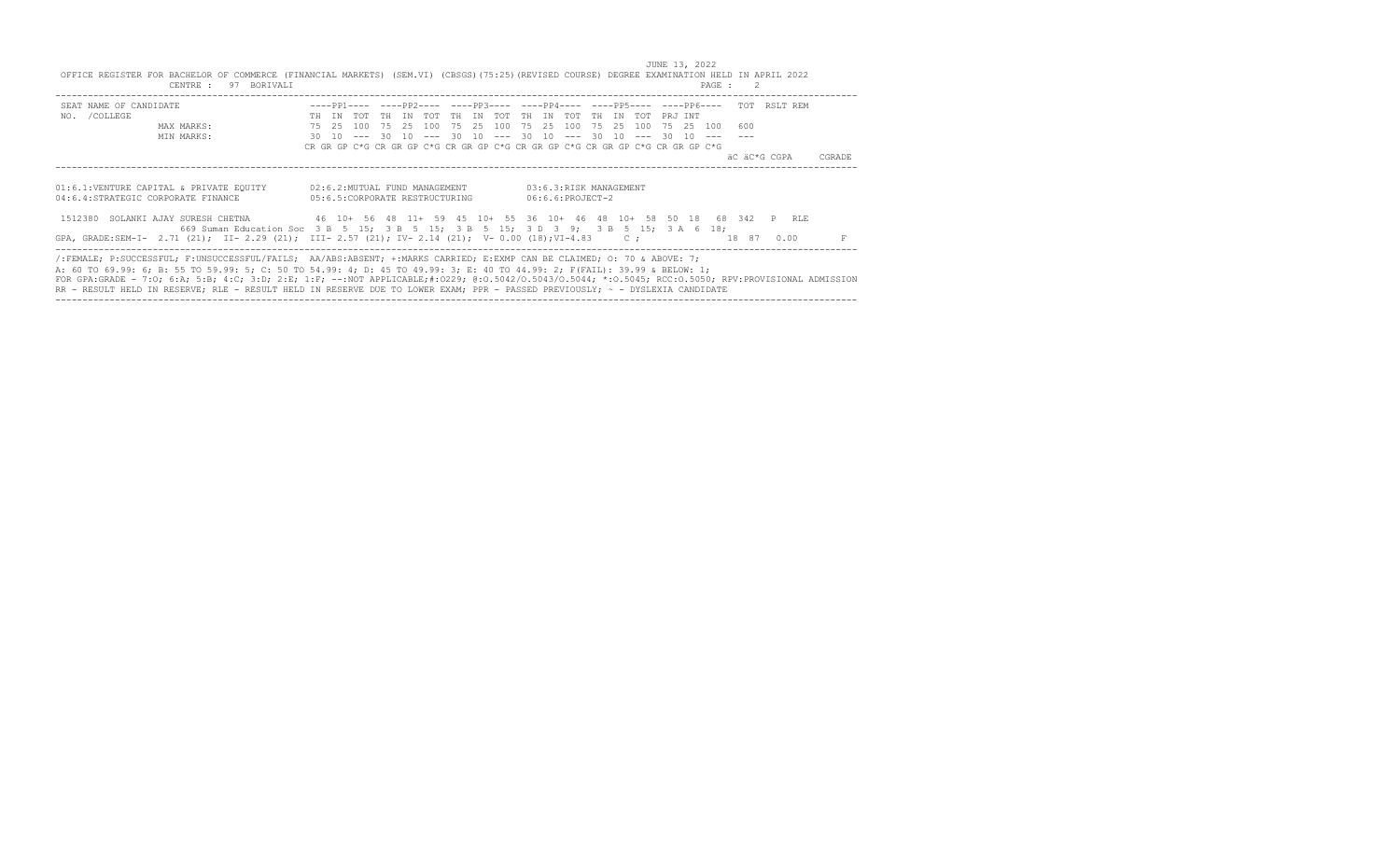JUNE 13, 2022<br>OFFICE REGISTER FOR BACHELOR OF COMMERCE (FINANCIAL MARKETS) (SEM.VI) (CBSGS)(75:25)(REVISED COURSE) DEGREE EXAMINATION HELD IN APRIL 2022 CENTRE : 97 BORIVALI PAGE : 2

| SEAT NAME OF CANDIDATE                                                                                                                               |      |       |               |       |                                 |    |    |                           |      |                    |                                                                               |    |    |     |          |         |           | ----PP1---- ----PP2---- ----PP3---- ----PP4---- ----PP5---- ----PP6---- TOT RSLT REM |  |      |        |  |
|------------------------------------------------------------------------------------------------------------------------------------------------------|------|-------|---------------|-------|---------------------------------|----|----|---------------------------|------|--------------------|-------------------------------------------------------------------------------|----|----|-----|----------|---------|-----------|--------------------------------------------------------------------------------------|--|------|--------|--|
| NO. / COLLEGE                                                                                                                                        |      | TN    | アの平           | TN    | ግሰጥ                             | TH | TN | TOT                       | - TH | TN                 | ጥሰጥ                                                                           | TH | TN | TOT |          | PRJ INT |           |                                                                                      |  |      |        |  |
| MAX MARKS:                                                                                                                                           |      | 75 25 | 100           | 75 25 | 100                             |    |    | 75 25 100                 |      |                    | 75 25 100 75 25 100                                                           |    |    |     |          |         | 75 25 100 | 600                                                                                  |  |      |        |  |
| MIN MARKS:                                                                                                                                           | 30 I |       | $10 - - - 30$ |       | $10 - - -$                      |    |    | $30 \t10 \t--- \t30 \t10$ |      |                    | $--- 30$                                                                      |    | 10 |     | $--- 30$ | 10      |           |                                                                                      |  |      |        |  |
|                                                                                                                                                      |      |       |               |       |                                 |    |    |                           |      |                    | CR GR GP C*G CR GR GP C*G CR GR GP C*G CR GR GP C*G CR GR GP C*G CR GR GP C*G |    |    |     |          |         |           |                                                                                      |  |      |        |  |
|                                                                                                                                                      |      |       |               |       |                                 |    |    |                           |      |                    |                                                                               |    |    |     |          |         |           | äC äC*G CGPA                                                                         |  |      | CGRADE |  |
|                                                                                                                                                      |      |       |               |       |                                 |    |    |                           |      |                    |                                                                               |    |    |     |          |         |           |                                                                                      |  |      |        |  |
|                                                                                                                                                      |      |       |               |       |                                 |    |    |                           |      |                    |                                                                               |    |    |     |          |         |           |                                                                                      |  |      |        |  |
| 01:6.1:VENTURE CAPITAL & PRIVATE EQUITY                                                                                                              |      |       |               |       | 02:6.2:MUTUAL FUND MANAGEMENT   |    |    |                           |      |                    | 03:6.3:RISK MANAGEMENT                                                        |    |    |     |          |         |           |                                                                                      |  |      |        |  |
| 04:6.4:STRATEGIC CORPORATE FINANCE                                                                                                                   |      |       |               |       | 05:6.5: CORPORATE RESTRUCTURING |    |    |                           |      | $06:6.6:PROJECT-2$ |                                                                               |    |    |     |          |         |           |                                                                                      |  |      |        |  |
|                                                                                                                                                      |      |       |               |       |                                 |    |    |                           |      |                    |                                                                               |    |    |     |          |         |           |                                                                                      |  |      |        |  |
| 1512380 SOLANKI AJAY SURESH CHETNA                                                                                                                   |      |       |               |       |                                 |    |    |                           |      |                    | 46 10 + 56 48 11 + 59 45 10 + 55 36 10 + 46 48 10 + 58 50 18                  |    |    |     |          |         |           | 68 342 P RLE                                                                         |  |      |        |  |
| 669 Suman Education Soc 3 B 5 15: 3 B 5 15: 3 B 5 15: 3 D 3 9: 3 B 5 15: 3 A 6 18:                                                                   |      |       |               |       |                                 |    |    |                           |      |                    |                                                                               |    |    |     |          |         |           |                                                                                      |  |      |        |  |
| GPA, GRADE:SEM-I- 2.71 (21); II- 2.29 (21); III- 2.57 (21); IV- 2.14 (21); V- 0.00 (18);VI-4.83 C;                                                   |      |       |               |       |                                 |    |    |                           |      |                    |                                                                               |    |    |     |          |         |           | 18 87                                                                                |  | 0.00 |        |  |
|                                                                                                                                                      |      |       |               |       |                                 |    |    |                           |      |                    |                                                                               |    |    |     |          |         |           |                                                                                      |  |      |        |  |
| /:FEMALE; P:SUCCESSFUL; F:UNSUCCESSFUL/FAILS; AA/ABS:ABSENT; +:MARKS CARRIED; E:EXMP CAN BE CLAIMED; 0: 70 & ABOVE: 7;                               |      |       |               |       |                                 |    |    |                           |      |                    |                                                                               |    |    |     |          |         |           |                                                                                      |  |      |        |  |
| A: 60 TO 69.99: 6; B: 55 TO 59.99: 5; C: 50 TO 54.99: 4; D: 45 TO 49.99: 3; E: 40 TO 44.99: 2; F(FAIL): 39.99 & BELOW: 1;                            |      |       |               |       |                                 |    |    |                           |      |                    |                                                                               |    |    |     |          |         |           |                                                                                      |  |      |        |  |
| FOR GPA:GRADE - 7:0; 6:A; 5:B; 4:C; 3:D; 2:E; 1:F; --:NOT APPLICABLE;#:0229; 0:0.5042/0.5043/0.5044; *:0.5045; RCC:0.5050; RPV:PROVISIONAL ADMISSION |      |       |               |       |                                 |    |    |                           |      |                    |                                                                               |    |    |     |          |         |           |                                                                                      |  |      |        |  |
| RR - RESULT HELD IN RESERVE; RLE - RESULT HELD IN RESERVE DUE TO LOWER EXAM; PPR - PASSED PREVIOUSLY; ~ - DYSLEXIA CANDIDATE                         |      |       |               |       |                                 |    |    |                           |      |                    |                                                                               |    |    |     |          |         |           |                                                                                      |  |      |        |  |

----------------------------------------------------------------------------------------------------------------------------------------------------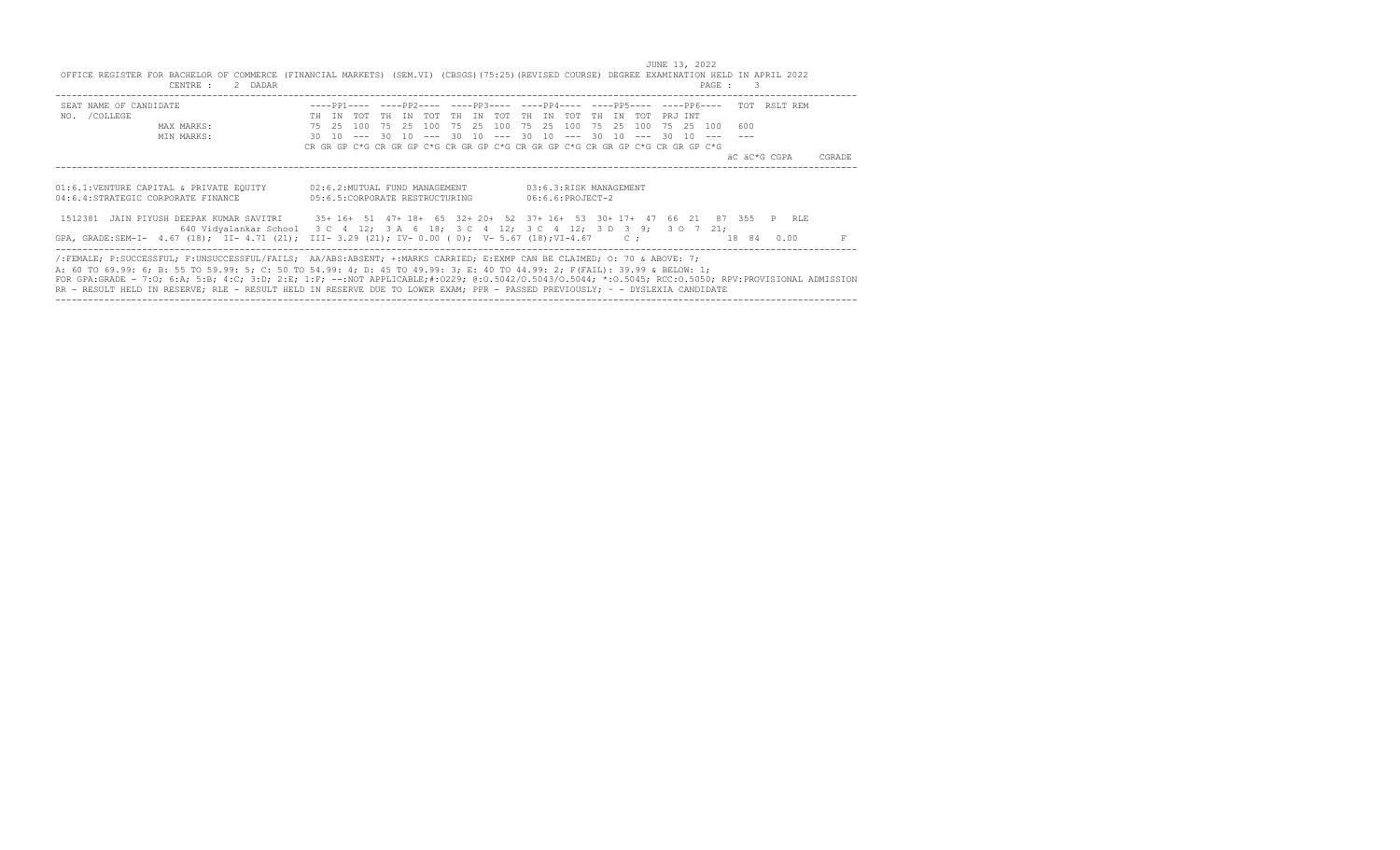JUNE 13, 2022 OFFICE REGISTER FOR BACHELOR OF COMMERCE (FINANCIAL MARKETS) (SEM.VI) (CBSGS)(75:25)(REVISED COURSE) DEGREE EXAMINATION HELD IN APRIL 2022 CENTRE : 2 DADAR PAGE : 3

| SEAT NAME OF CANDIDATE                                                                                                                               |    |       |                                 |           |    |       |       |      |             |    |                    |                        |       |               |                                                                               |          |  |           | ----PP1---- ----PP2---- ----PP3---- ----PP4---- ----PP5---- ----PP6---- TOT RSLT REM |      |  |        |  |
|------------------------------------------------------------------------------------------------------------------------------------------------------|----|-------|---------------------------------|-----------|----|-------|-------|------|-------------|----|--------------------|------------------------|-------|---------------|-------------------------------------------------------------------------------|----------|--|-----------|--------------------------------------------------------------------------------------|------|--|--------|--|
| NO. / COLLEGE                                                                                                                                        | TH | T N   | ጥሰጥ                             | TH.       | TN | ጥሰጥ   | TH    | TN   | ጥሰጥ         | TH | TN                 | アのT                    | TH.   | TN            | ጣሰጥ                                                                           | PR.T TNT |  |           |                                                                                      |      |  |        |  |
| MAX MARKS:                                                                                                                                           |    | 75 25 | 100.                            | - 75 - 25 |    | 100   | 75    | -2.5 | 100         |    | 75 25              | 100                    | 75 25 |               | 100                                                                           |          |  | 75 25 100 | 600                                                                                  |      |  |        |  |
| MIN MARKS:                                                                                                                                           |    | 30 10 |                                 | 30        | 10 | $---$ | 30 10 |      | $--- 30 10$ |    |                    | $---$                  |       | $30 \quad 10$ | $---$                                                                         | 30 10    |  |           |                                                                                      |      |  |        |  |
|                                                                                                                                                      |    |       |                                 |           |    |       |       |      |             |    |                    |                        |       |               | CR GR GP C*G CR GR GP C*G CR GR GP C*G CR GR GP C*G CR GR GP C*G CR GR GP C*G |          |  |           |                                                                                      |      |  |        |  |
|                                                                                                                                                      |    |       |                                 |           |    |       |       |      |             |    |                    |                        |       |               |                                                                               |          |  |           | äC äC*G CGPA                                                                         |      |  | CGRADE |  |
|                                                                                                                                                      |    |       |                                 |           |    |       |       |      |             |    |                    |                        |       |               |                                                                               |          |  |           |                                                                                      |      |  |        |  |
|                                                                                                                                                      |    |       |                                 |           |    |       |       |      |             |    |                    |                        |       |               |                                                                               |          |  |           |                                                                                      |      |  |        |  |
| 01:6.1:VENTURE CAPITAL & PRIVATE EQUITY                                                                                                              |    |       | 02:6.2:MUTUAL FUND MANAGEMENT   |           |    |       |       |      |             |    |                    | 03:6.3:RISK MANAGEMENT |       |               |                                                                               |          |  |           |                                                                                      |      |  |        |  |
| 04:6.4:STRATEGIC CORPORATE FINANCE                                                                                                                   |    |       | 05:6.5: CORPORATE RESTRUCTURING |           |    |       |       |      |             |    | $06:6.6:PROJECT-2$ |                        |       |               |                                                                               |          |  |           |                                                                                      |      |  |        |  |
|                                                                                                                                                      |    |       |                                 |           |    |       |       |      |             |    |                    |                        |       |               |                                                                               |          |  |           |                                                                                      |      |  |        |  |
| 1512381 JAIN PIYUSH DEEPAK KUMAR SAVITRI 35+16+51 47+18+65 32+20+52 37+16+53 30+17+47 66 21 87 355 P RLE                                             |    |       |                                 |           |    |       |       |      |             |    |                    |                        |       |               |                                                                               |          |  |           |                                                                                      |      |  |        |  |
| 640 Vidyalankar School 3 C 4 12; 3 A 6 18; 3 C 4 12; 3 C 4 12; 3 D 3 9; 3 O 7 21;                                                                    |    |       |                                 |           |    |       |       |      |             |    |                    |                        |       |               |                                                                               |          |  |           |                                                                                      |      |  |        |  |
| GPA, GRADE:SEM-I- 4.67 (18); II- 4.71 (21); III- 3.29 (21); IV- 0.00 (0); V- 5.67 (18); VI-4.67 C;                                                   |    |       |                                 |           |    |       |       |      |             |    |                    |                        |       |               |                                                                               |          |  |           | 18 84                                                                                | 0.00 |  |        |  |
|                                                                                                                                                      |    |       |                                 |           |    |       |       |      |             |    |                    |                        |       |               |                                                                               |          |  |           |                                                                                      |      |  |        |  |
| /:FEMALE; P:SUCCESSFUL; F:UNSUCCESSFUL/FAILS; AA/ABS:ABSENT; +:MARKS CARRIED; E:EXMP CAN BE CLAIMED; O: 70 & ABOVE: 7;                               |    |       |                                 |           |    |       |       |      |             |    |                    |                        |       |               |                                                                               |          |  |           |                                                                                      |      |  |        |  |
| A: 60 TO 69.99: 6; B: 55 TO 59.99: 5; C: 50 TO 54.99: 4; D: 45 TO 49.99: 3; E: 40 TO 44.99: 2; F(FAIL): 39.99 & BELOW: 1;                            |    |       |                                 |           |    |       |       |      |             |    |                    |                        |       |               |                                                                               |          |  |           |                                                                                      |      |  |        |  |
| FOR GPA:GRADE - 7:0; 6:A; 5:B; 4:C; 3:D; 2:E; 1:F; --:NOT APPLICABLE;#:0229; 0:0.5042/0.5043/0.5044; *:0.5045; RCC:0.5050; RPV:PROVISIONAL ADMISSION |    |       |                                 |           |    |       |       |      |             |    |                    |                        |       |               |                                                                               |          |  |           |                                                                                      |      |  |        |  |
| RR - RESULT HELD IN RESERVE; RLE - RESULT HELD IN RESERVE DUE TO LOWER EXAM; PPR - PASSED PREVIOUSLY; ~ - DYSLEXIA CANDIDATE                         |    |       |                                 |           |    |       |       |      |             |    |                    |                        |       |               |                                                                               |          |  |           |                                                                                      |      |  |        |  |

----------------------------------------------------------------------------------------------------------------------------------------------------